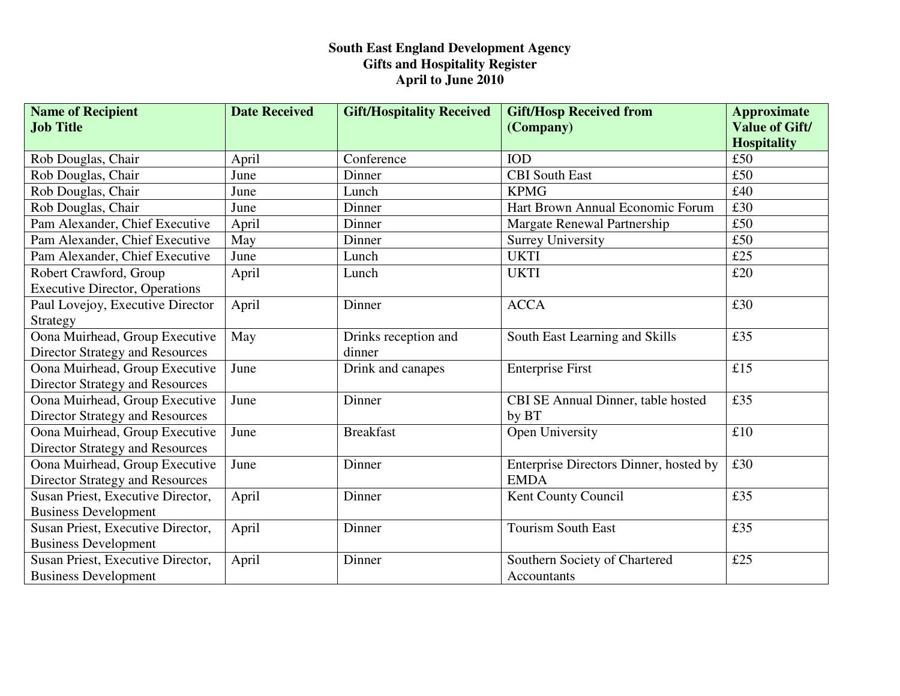| <b>Name of Recipient</b>               | <b>Date Received</b> | <b>Gift/Hospitality Received</b> | <b>Gift/Hosp Received from</b>         | <b>Approximate</b>                          |
|----------------------------------------|----------------------|----------------------------------|----------------------------------------|---------------------------------------------|
| <b>Job Title</b>                       |                      |                                  | (Company)                              | <b>Value of Gift/</b><br><b>Hospitality</b> |
| Rob Douglas, Chair                     | April                | Conference                       | <b>IOD</b>                             | £50                                         |
| Rob Douglas, Chair                     | June                 | Dinner                           | <b>CBI</b> South East                  | £50                                         |
| Rob Douglas, Chair                     | June                 | Lunch                            | <b>KPMG</b>                            | £40                                         |
| Rob Douglas, Chair                     | June                 | Dinner                           | Hart Brown Annual Economic Forum       | £30                                         |
| Pam Alexander, Chief Executive         | April                | Dinner                           | Margate Renewal Partnership            | £50                                         |
| Pam Alexander, Chief Executive         | May                  | Dinner                           | <b>Surrey University</b>               | £50                                         |
| Pam Alexander, Chief Executive         | June                 | Lunch                            | <b>UKTI</b>                            | £25                                         |
| Robert Crawford, Group                 | April                | Lunch                            | <b>UKTI</b>                            | £20                                         |
| <b>Executive Director, Operations</b>  |                      |                                  |                                        |                                             |
| Paul Lovejoy, Executive Director       | April                | Dinner                           | <b>ACCA</b>                            | £30                                         |
| Strategy                               |                      |                                  |                                        |                                             |
| Oona Muirhead, Group Executive         | May                  | Drinks reception and             | South East Learning and Skills         | £35                                         |
| <b>Director Strategy and Resources</b> |                      | dinner                           |                                        |                                             |
| Oona Muirhead, Group Executive         | June                 | Drink and canapes                | <b>Enterprise First</b>                | £15                                         |
| <b>Director Strategy and Resources</b> |                      |                                  |                                        |                                             |
| Oona Muirhead, Group Executive         | June                 | Dinner                           | CBI SE Annual Dinner, table hosted     | £35                                         |
| <b>Director Strategy and Resources</b> |                      |                                  | by BT                                  |                                             |
| Oona Muirhead, Group Executive         | June                 | <b>Breakfast</b>                 | Open University                        | $\pounds10$                                 |
| <b>Director Strategy and Resources</b> |                      |                                  |                                        |                                             |
| Oona Muirhead, Group Executive         | June                 | Dinner                           | Enterprise Directors Dinner, hosted by | £30                                         |
| Director Strategy and Resources        |                      |                                  | <b>EMDA</b>                            |                                             |
| Susan Priest, Executive Director,      | April                | Dinner                           | Kent County Council                    | £35                                         |
| <b>Business Development</b>            |                      |                                  |                                        |                                             |
| Susan Priest, Executive Director,      | April                | Dinner                           | <b>Tourism South East</b>              | £35                                         |
| <b>Business Development</b>            |                      |                                  |                                        |                                             |
| Susan Priest, Executive Director,      | April                | Dinner                           | Southern Society of Chartered          | £25                                         |
| <b>Business Development</b>            |                      |                                  | <b>Accountants</b>                     |                                             |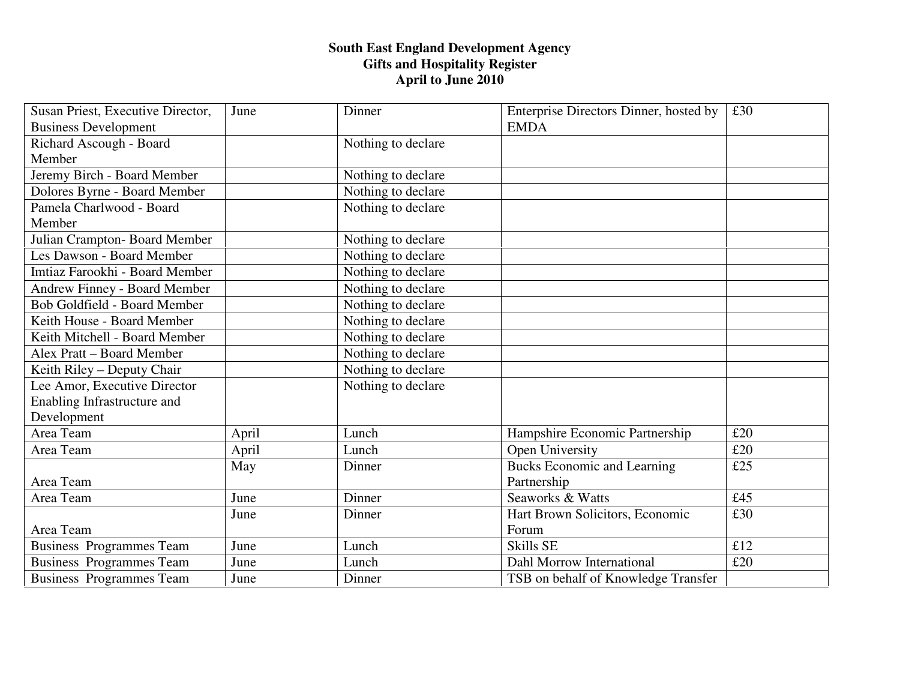| Susan Priest, Executive Director,   | June  | Dinner             | Enterprise Directors Dinner, hosted by | £30 |
|-------------------------------------|-------|--------------------|----------------------------------------|-----|
| <b>Business Development</b>         |       |                    | <b>EMDA</b>                            |     |
| Richard Ascough - Board             |       | Nothing to declare |                                        |     |
| Member                              |       |                    |                                        |     |
| Jeremy Birch - Board Member         |       | Nothing to declare |                                        |     |
| Dolores Byrne - Board Member        |       | Nothing to declare |                                        |     |
| Pamela Charlwood - Board            |       | Nothing to declare |                                        |     |
| Member                              |       |                    |                                        |     |
| Julian Crampton-Board Member        |       | Nothing to declare |                                        |     |
| Les Dawson - Board Member           |       | Nothing to declare |                                        |     |
| Imtiaz Farookhi - Board Member      |       | Nothing to declare |                                        |     |
| <b>Andrew Finney - Board Member</b> |       | Nothing to declare |                                        |     |
| <b>Bob Goldfield - Board Member</b> |       | Nothing to declare |                                        |     |
| Keith House - Board Member          |       | Nothing to declare |                                        |     |
| Keith Mitchell - Board Member       |       | Nothing to declare |                                        |     |
| Alex Pratt - Board Member           |       | Nothing to declare |                                        |     |
| Keith Riley – Deputy Chair          |       | Nothing to declare |                                        |     |
| Lee Amor, Executive Director        |       | Nothing to declare |                                        |     |
| Enabling Infrastructure and         |       |                    |                                        |     |
| Development                         |       |                    |                                        |     |
| Area Team                           | April | Lunch              | Hampshire Economic Partnership         | £20 |
| Area Team                           | April | Lunch              | Open University                        | £20 |
|                                     | May   | Dinner             | <b>Bucks Economic and Learning</b>     | £25 |
| Area Team                           |       |                    | Partnership                            |     |
| Area Team                           | June  | Dinner             | Seaworks & Watts                       | £45 |
|                                     | June  | Dinner             | Hart Brown Solicitors, Economic        | £30 |
| Area Team                           |       |                    | Forum                                  |     |
| <b>Business Programmes Team</b>     | June  | Lunch              | <b>Skills SE</b>                       | £12 |
| <b>Business Programmes Team</b>     | June  | Lunch              | Dahl Morrow International              | £20 |
| <b>Business Programmes Team</b>     | June  | Dinner             | TSB on behalf of Knowledge Transfer    |     |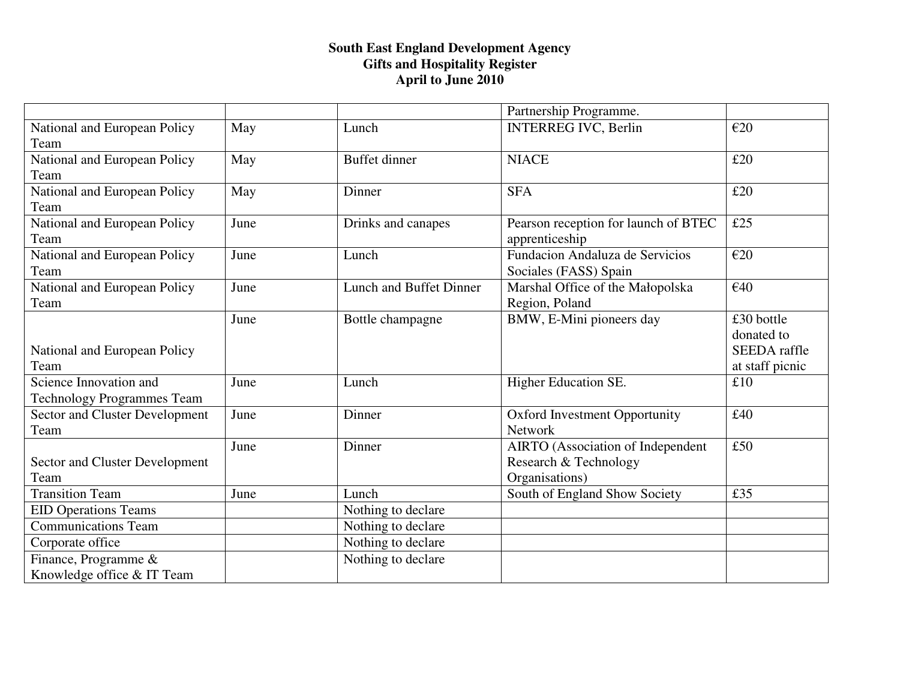|                                       |      |                                | Partnership Programme.                   |                     |
|---------------------------------------|------|--------------------------------|------------------------------------------|---------------------|
| National and European Policy          | May  | Lunch                          | <b>INTERREG IVC, Berlin</b>              | E20                 |
| Team                                  |      |                                |                                          |                     |
| National and European Policy          | May  | <b>Buffet dinner</b>           | <b>NIACE</b>                             | £20                 |
| Team                                  |      |                                |                                          |                     |
| National and European Policy          | May  | Dinner                         | <b>SFA</b>                               | £20                 |
| Team                                  |      |                                |                                          |                     |
| National and European Policy          | June | Drinks and canapes             | Pearson reception for launch of BTEC     | £25                 |
| Team                                  |      |                                | apprenticeship                           |                     |
| National and European Policy          | June | Lunch                          | Fundacion Andaluza de Servicios          | E20                 |
| Team                                  |      |                                | Sociales (FASS) Spain                    |                     |
| National and European Policy          | June | <b>Lunch and Buffet Dinner</b> | Marshal Office of the Małopolska         | €40                 |
| Team                                  |      |                                | Region, Poland                           |                     |
|                                       | June | Bottle champagne               | BMW, E-Mini pioneers day                 | £30 bottle          |
|                                       |      |                                |                                          | donated to          |
| National and European Policy          |      |                                |                                          | <b>SEEDA</b> raffle |
| Team                                  |      |                                |                                          | at staff picnic     |
| Science Innovation and                | June | Lunch                          | Higher Education SE.                     | £10                 |
| <b>Technology Programmes Team</b>     |      |                                |                                          |                     |
| <b>Sector and Cluster Development</b> | June | Dinner                         | Oxford Investment Opportunity            | £40                 |
| Team                                  |      |                                | Network                                  |                     |
|                                       | June | Dinner                         | <b>AIRTO</b> (Association of Independent | £50                 |
| <b>Sector and Cluster Development</b> |      |                                | Research & Technology                    |                     |
| Team                                  |      |                                | Organisations)                           |                     |
| <b>Transition Team</b>                | June | Lunch                          | South of England Show Society            | £35                 |
| <b>EID Operations Teams</b>           |      | Nothing to declare             |                                          |                     |
| <b>Communications Team</b>            |      | Nothing to declare             |                                          |                     |
| Corporate office                      |      | Nothing to declare             |                                          |                     |
| Finance, Programme &                  |      | Nothing to declare             |                                          |                     |
| Knowledge office & IT Team            |      |                                |                                          |                     |